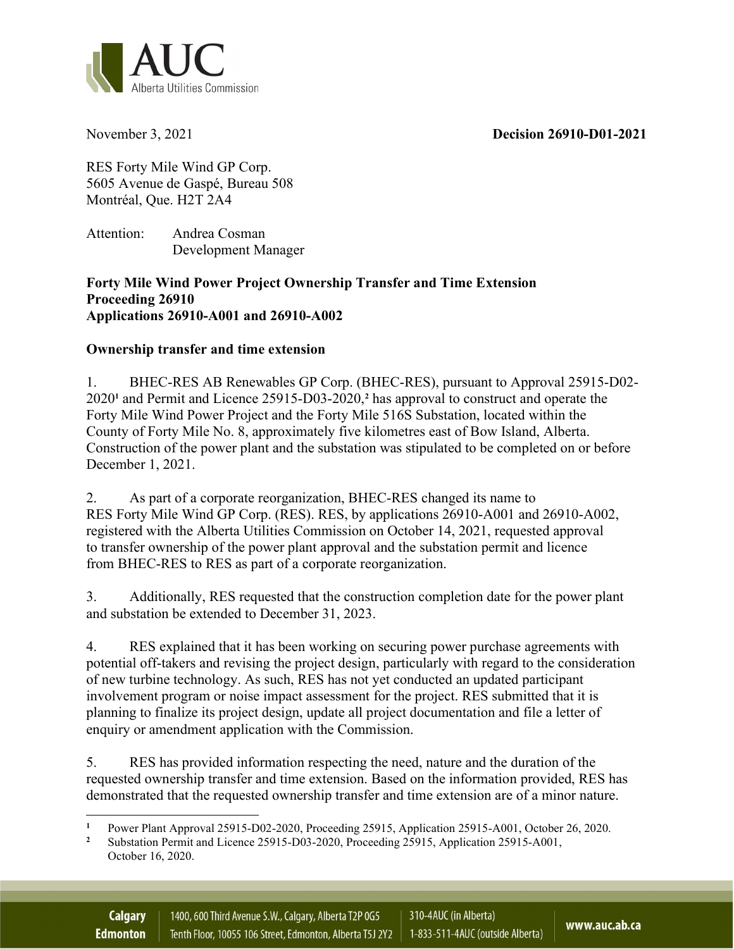November 3, 2021 Decision 26910-D01-2021



RES Forty Mile Wind GP Corp. 5605 Avenue de Gaspé, Bureau 508 Montréal, Que. H2T 2A4

Attention: Andrea Cosman Development Manager

## Forty Mile Wind Power Project Ownership Transfer and Time Extension Proceeding 26910 Applications 26910-A001 and 26910-A002

## Ownership transfer and time extension

1. BHEC-RES AB Renewables GP Corp. (BHEC-RES), pursuant to Approval 25915-D02- 2020<sup>1</sup> and Permit and Licence 25915-D03-2020,<sup>2</sup> has approval to construct and operate the Forty Mile Wind Power Project and the Forty Mile 516S Substation, located within the County of Forty Mile No. 8, approximately five kilometres east of Bow Island, Alberta. Construction of the power plant and the substation was stipulated to be completed on or before December 1, 2021.

2. As part of a corporate reorganization, BHEC-RES changed its name to RES Forty Mile Wind GP Corp. (RES). RES, by applications 26910-A001 and 26910-A002, registered with the Alberta Utilities Commission on October 14, 2021, requested approval to transfer ownership of the power plant approval and the substation permit and licence from BHEC-RES to RES as part of a corporate reorganization.

3. Additionally, RES requested that the construction completion date for the power plant and substation be extended to December 31, 2023.

4. RES explained that it has been working on securing power purchase agreements with potential off-takers and revising the project design, particularly with regard to the consideration of new turbine technology. As such, RES has not yet conducted an updated participant involvement program or noise impact assessment for the project. RES submitted that it is planning to finalize its project design, update all project documentation and file a letter of enquiry or amendment application with the Commission.

5. RES has provided information respecting the need, nature and the duration of the requested ownership transfer and time extension. Based on the information provided, RES has demonstrated that the requested ownership transfer and time extension are of a minor nature.

<sup>1</sup> Power Plant Approval 25915-D02-2020, Proceeding 25915, Application 25915-A001, October 26, 2020.

<sup>2</sup> Substation Permit and Licence 25915-D03-2020, Proceeding 25915, Application 25915-A001, October 16, 2020.